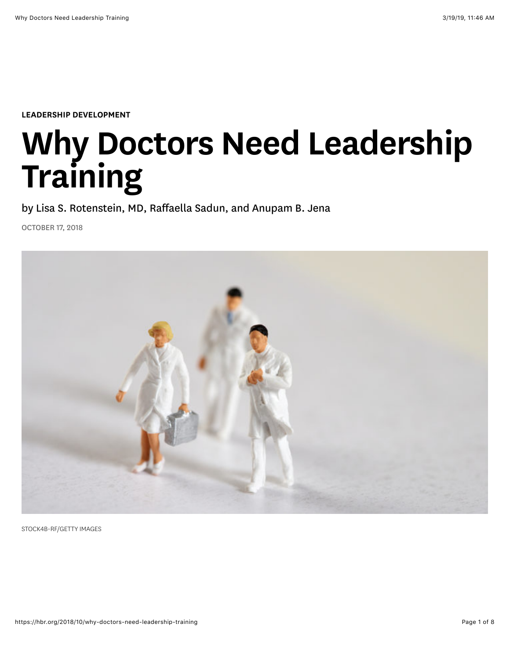[LEADERSHIP DEVELOPMENT](https://hbr.org/topic/leadership-development)

# Why Doctors Need Leadership Training

by [Lisa S. Rotenstein, MD](https://hbr.org/search?term=lisa%20s.%20rotenstein%2C%20md), [Raffaella Sadun](https://hbr.org/search?term=raffaella%20sadun), and [Anupam B. Jena](https://hbr.org/search?term=anupam%20b.%20jena)

OCTOBER 17, 2018



STOCK4B-RF/GETTY IMAGES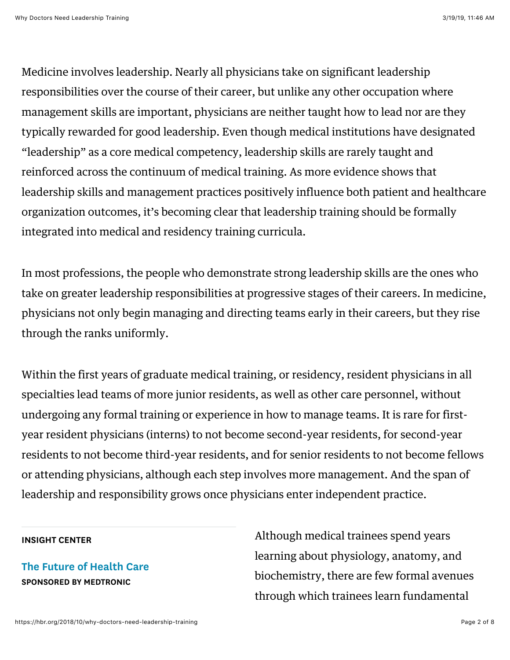Medicine involves leadership. Nearly all physicians take on significant leadership responsibilities over the course of their career, but unlike any other occupation where management skills are important, physicians are neither taught how to lead nor are they typically rewarded for good leadership. Even though medical institutions have designated "leadership" as a core medical [competency,](https://www.ncbi.nlm.nih.gov/pubmed/24602649) leadership skills are rarely taught and reinforced across the continuum of medical training. As more evidence shows that leadership skills and [management](http://worldmanagementsurvey.org/wp-content/images/2010/10/Management_in_Healthcare_Report_2010.pdf) practices positively influence both patient and healthcare organization outcomes, it's becoming clear that leadership training should be formally integrated into medical and residency training curricula.

In most professions, the people who demonstrate strong leadership skills are the ones who take on greater leadership responsibilities at progressive stages of their careers. In medicine, physicians not only begin managing and directing teams early in their careers, but they rise through the ranks uniformly.

Within the first years of graduate medical training, or residency, resident physicians in all specialties lead teams of more junior residents, as well as other care personnel, without undergoing any formal training or experience in how to manage teams. It is rare for firstyear resident physicians (interns) to not become second-year residents, for second-year residents to not become third-year residents, and for senior residents to not become fellows or attending physicians, although each step involves more management. And the span of leadership and responsibility grows once physicians enter independent practice.

#### INSIGHT CENTER

[The Future of Health Care](https://hbr.org/insight-center/the-future-of-health-care) SPONSORED BY MEDTRONIC

Although medical trainees spend years learning about physiology, anatomy, and biochemistry, there are few formal avenues through which trainees learn fundamental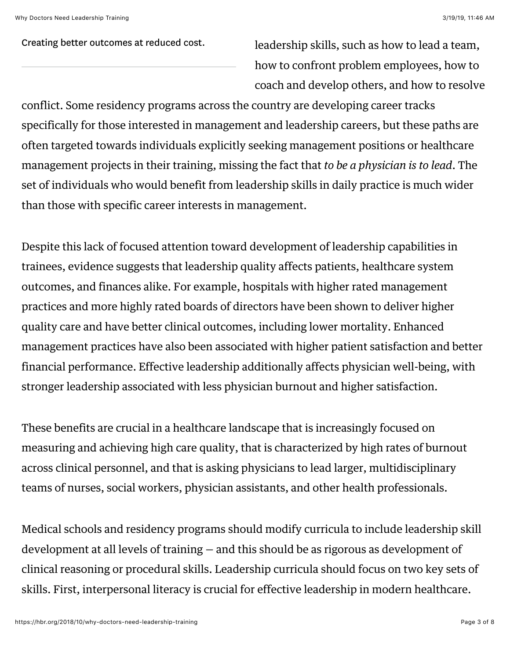Creating better outcomes at reduced cost. leadership skills, [such as](https://www.ncbi.nlm.nih.gov/pmc/articles/PMC4462209/) how to lead a team, how to confront problem employees, how to coach and develop others, and how to resolve

conflict. Some residency programs across the country are developing career [tracks](https://www.ncbi.nlm.nih.gov/pubmed/25433680) specifically for those interested in management and leadership careers, but these paths are often targeted towards individuals explicitly seeking management positions or healthcare management projects in their training, missing the fact that *to be a physician is to lead*. The set of individuals who would benefit from leadership skills in daily practice is much wider than those with specific career interests in management.

Despite this lack of focused attention toward development of leadership capabilities in trainees, evidence suggests that leadership quality affects patients, healthcare system outcomes, and finances alike. For example, [hospitals](https://www.ncbi.nlm.nih.gov/pubmed/26240243) with higher rated management practices and more highly rated boards of directors have been shown to deliver higher quality care and have better clinical outcomes, including lower mortality. Enhanced [management](http://worldmanagementsurvey.org/wp-content/images/2010/10/Management_in_Healthcare_Report_2010.pdf) practices have also been associated with higher patient satisfaction and better financial performance. Effective [leadership](https://www.ncbi.nlm.nih.gov/pubmed/25796117) additionally affects physician well-being, with stronger leadership associated with less physician burnout and higher satisfaction.

These benefits are crucial in a healthcare landscape that is increasingly focused on measuring and achieving high care quality, that is characterized by high rates of [burnout](https://jamanetwork.com/journals/jama/article-abstract/2702871) across clinical personnel, and that is asking physicians to lead larger, multidisciplinary [teams](https://www.ajmc.com/journals/issue/2013/2013-1-vol19-n2/guidance-for-structuring-team-based-incentives-in-healthcare) of nurses, social workers, physician assistants, and other health professionals.

Medical schools and residency programs should modify curricula to include leadership skill development at all levels of training — and this should be as rigorous as development of clinical reasoning or procedural skills. Leadership curricula should focus on two key sets of skills. First, interpersonal literacy is crucial for effective leadership in modern healthcare.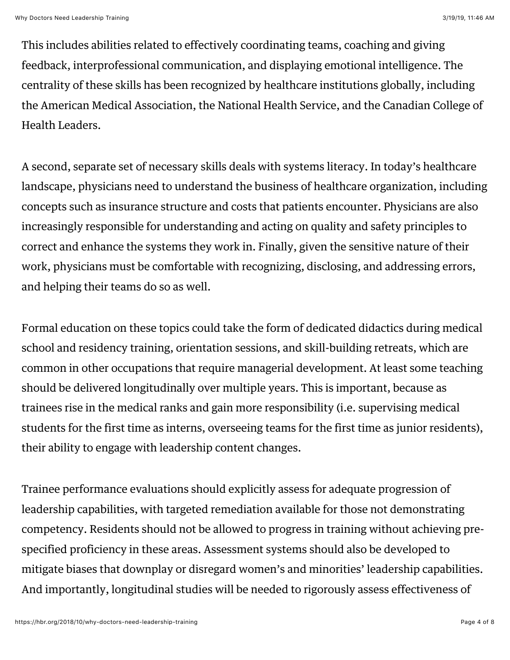This includes abilities related to effectively coordinating teams, coaching and giving feedback, interprofessional communication, and displaying emotional intelligence. The centrality of these skills has been recognized by healthcare institutions globally, including [the American Medical Association, the National Health Service, and the Canadian College of](http://cchl-ccls.ca/uploaded/web/CHE/CHE_Program/CHEProgram_LEADSFramework_2013_EN.pdf) Health Leaders.

A second, separate set of necessary skills deals with systems literacy. In today's healthcare landscape, physicians need to understand the business of healthcare organization, including concepts such as insurance structure and costs that patients encounter. Physicians are also increasingly responsible for understanding and acting on quality and safety principles to correct and enhance the systems they work in. Finally, given the sensitive nature of their work, physicians must be comfortable with recognizing, disclosing, and addressing errors, and helping their teams do so as well.

Formal education on these topics could take the form of dedicated didactics during medical school and residency training, orientation sessions, and skill-building retreats, which are common in other occupations that require managerial development. At least some teaching should be delivered longitudinally over multiple years. This is important, because as trainees rise in the medical ranks and gain more responsibility (i.e. supervising medical students for the first time as interns, overseeing teams for the first time as junior residents), their ability to engage with leadership content changes.

Trainee performance evaluations should explicitly assess for adequate progression of leadership capabilities, with targeted remediation available for those not demonstrating competency. Residents should not be allowed to progress in training without achieving prespecified proficiency in these areas. Assessment systems should also be developed to mitigate biases that downplay or disregard women's and minorities' leadership capabilities. And importantly, longitudinal studies will be needed to rigorously assess effectiveness of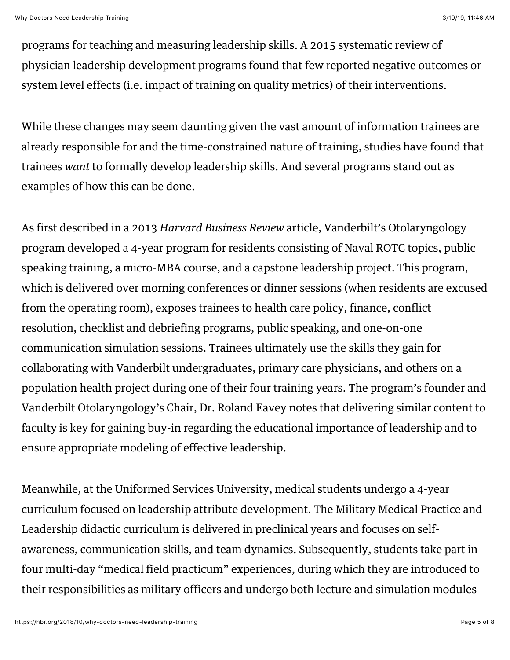programs for teaching and measuring leadership skills. A 2015 systematic [review](https://www.ncbi.nlm.nih.gov/pubmed/25527339) of physician leadership development programs found that few reported negative outcomes or system level effects (i.e. impact of training on quality metrics) of their interventions.

While these changes may seem daunting given the vast amount of information trainees are already responsible for and the time-constrained nature of training, [studies](https://www.ncbi.nlm.nih.gov/pmc/articles/PMC4512827/) have found that trainees *want* to formally develop leadership skills. And several programs stand out as examples of how this can be done.

As first described in a 2013 *Harvard Business Review* article, Vanderbilt's Otolaryngology program developed a [4-year program](https://hbr.org/2013/09/military-leadership-lessons-for-training-doctors) for residents consisting of Naval ROTC topics, public speaking training, a micro-MBA course, and a capstone leadership project. This program, which is delivered over morning conferences or dinner sessions (when residents are excused from the operating room), exposes trainees to health care policy, finance, conflict resolution, checklist and debriefing programs, public speaking, and one-on-one communication simulation sessions. Trainees ultimately use the skills they gain for collaborating with Vanderbilt undergraduates, primary care physicians, and others on a population health project during one of their four training years. The program's founder and Vanderbilt Otolaryngology's Chair, Dr. Roland Eavey notes that delivering similar content to faculty is key for gaining buy-in regarding the educational importance of leadership and to ensure appropriate modeling of effective leadership.

Meanwhile, at the Uniformed Services University, medical students undergo a 4-year [curriculum](https://academic.oup.com/milmed/article/180/suppl_4/147/4210188) focused on leadership attribute development. The Military Medical Practice and Leadership didactic curriculum is delivered in preclinical years and focuses on selfawareness, communication skills, and team dynamics. Subsequently, students take part in four multi-day "medical field practicum" experiences, during which they are introduced to their responsibilities as military officers and undergo both lecture and simulation modules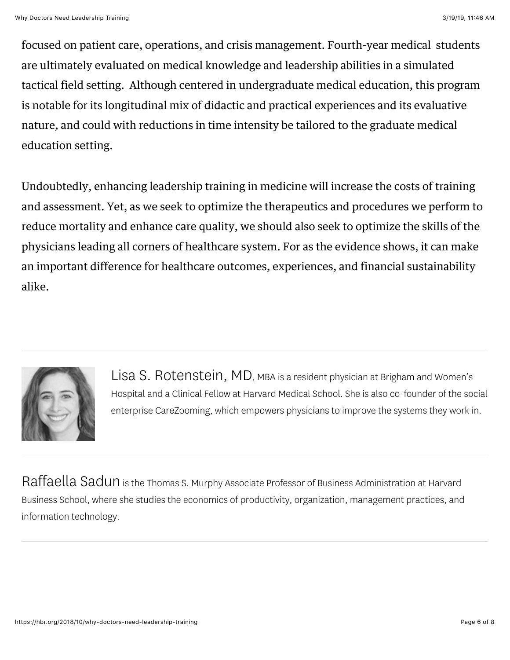focused on patient care, operations, and crisis management. Fourth-year medical students are ultimately evaluated on medical knowledge and leadership abilities in a simulated tactical field setting. Although centered in undergraduate medical education, this program is notable for its longitudinal mix of didactic and practical experiences and its evaluative nature, and could with reductions in time intensity be tailored to the graduate medical education setting.

Undoubtedly, enhancing leadership training in medicine will increase the costs of training and assessment. Yet, as we seek to optimize the therapeutics and procedures we perform to reduce mortality and enhance care quality, we should also seek to optimize the skills of the physicians leading all corners of healthcare system. For as the evidence shows, it can make an important difference for healthcare outcomes, experiences, and financial sustainability alike.



[Lisa S. Rotenstein, MD,](https://hbr.org/search?term=lisa%20s.%20rotenstein%2C%20md&search_type=search-all) MBA is a resident physician at Brigham and Women's Hospital and a [Clinical Fellow](https://scholar.harvard.edu/lrotenstein) at Harvard Medical School. She is also co-founder of the social enterprise [CareZooming,](https://www.carezooming.com/) which empowers physicians to improve the systems they work in.

[Raffaella Sadun](https://hbr.org/search?term=raffaella%20sadun&search_type=search-all) is the Thomas S. Murphy Associate Professor of Business Administration at Harvard Business School, where she studies the economics of productivity, organization, management practices, and information technology.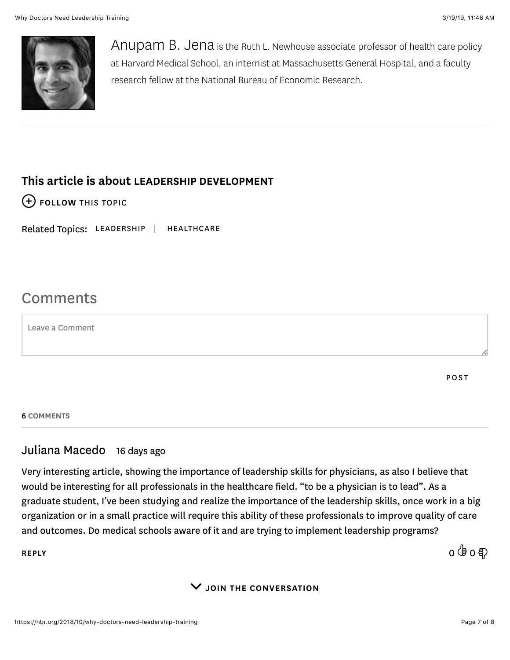

[Anupam B. Jena](https://hbr.org/search?term=anupam%20b.%20jena&search_type=search-all) is the Ruth L. Newhouse associate professor of health care policy at Harvard Medical School, an internist at Massachusetts General Hospital, and a faculty research fellow at the National Bureau of Economic Research.

## This article is about [LEADERSHIP DEVELOPMENT](https://hbr.org/topic/leadership-development)

 $(+)$  [FOLLOW THIS TOPIC](https://hbr.org/2018/10/why-doctors-need-leadership-training#)

Related Topics: [LEADERSHIP](https://hbr.org/topic/leadership) | [HEALTHCARE](https://hbr.org/topic/healthcare)

# Comments

Leave a Comment

POST

6 COMMENTS

## Juliana Macedo 16 days ago

Very interesting article, showing the importance of leadership skills for physicians, as also I believe that would be interesting for all professionals in the healthcare field. "to be a physician is to lead". As a graduate student, I've been studying and realize the importance of the leadership skills, once work in a big organization or in a small practice will require this ability of these professionals to improve quality of care and outcomes. Do medical schools aware of it and are trying to implement leadership programs?

[REPLY](https://hbr.org/2018/10/why-doctors-need-leadership-training#) 0 0

 $\vee$  JOIN THE CONVERSATION